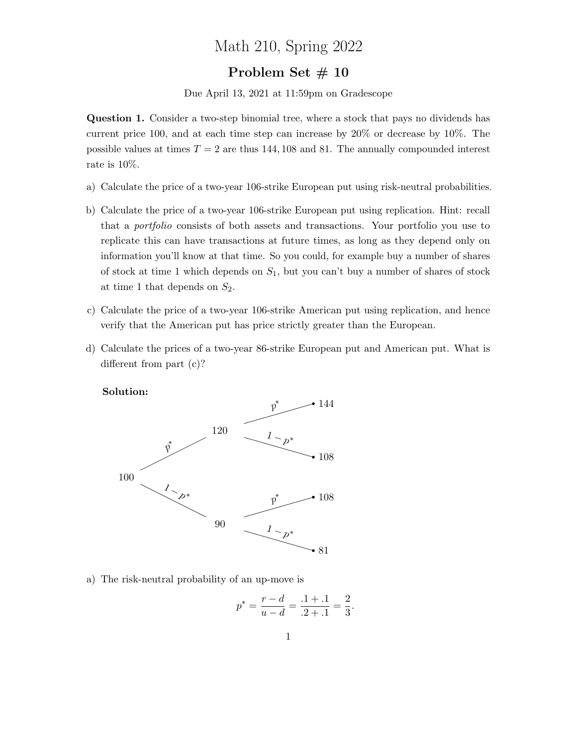## Math 210, Spring 2022

## Problem Set # 10

Due April 13, 2021 at 11:59pm on Gradescope

Question 1. Consider a two-step binomial tree, where a stock that pays no dividends has current price 100, and at each time step can increase by 20% or decrease by 10%. The possible values at times  $T = 2$  are thus 144, 108 and 81. The annually compounded interest rate is 10%.

- a) Calculate the price of a two-year 106-strike European put using risk-neutral probabilities.
- b) Calculate the price of a two-year 106-strike European put using replication. Hint: recall that a portfolio consists of both assets and transactions. Your portfolio you use to replicate this can have transactions at future times, as long as they depend only on information you'll know at that time. So you could, for example buy a number of shares of stock at time 1 which depends on  $S_1$ , but you can't buy a number of shares of stock at time 1 that depends on  $S_2$ .
- c) Calculate the price of a two-year 106-strike American put using replication, and hence verify that the American put has price strictly greater than the European.
- d) Calculate the prices of a two-year 86-strike European put and American put. What is different from part (c)?

Solution:



a) The risk-neutral probability of an up-move is

$$
p^* = \frac{r - d}{u - d} = \frac{.1 + .1}{.2 + .1} = \frac{2}{3}.
$$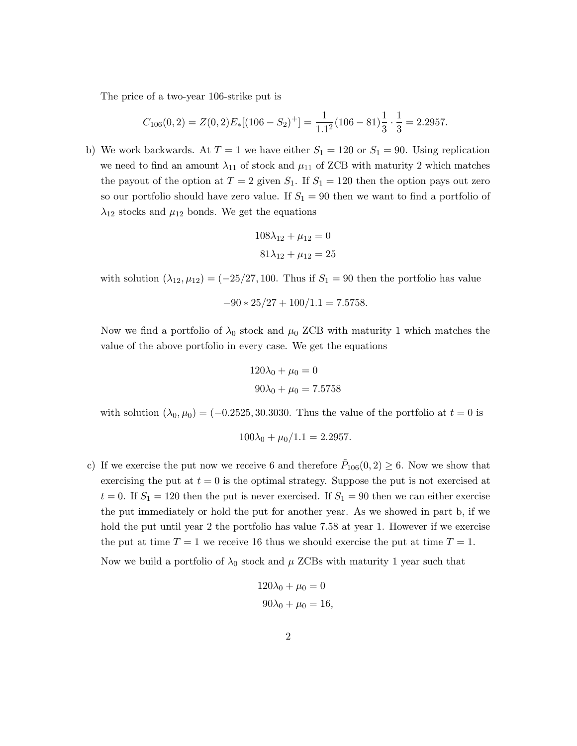The price of a two-year 106-strike put is

$$
C_{106}(0,2) = Z(0,2)E_*[(106 - S_2)^+] = \frac{1}{1.1^2}(106 - 81)\frac{1}{3} \cdot \frac{1}{3} = 2.2957.
$$

b) We work backwards. At  $T = 1$  we have either  $S_1 = 120$  or  $S_1 = 90$ . Using replication we need to find an amount  $\lambda_{11}$  of stock and  $\mu_{11}$  of ZCB with maturity 2 which matches the payout of the option at  $T = 2$  given  $S_1$ . If  $S_1 = 120$  then the option pays out zero so our portfolio should have zero value. If  $S_1 = 90$  then we want to find a portfolio of  $\lambda_{12}$  stocks and  $\mu_{12}$  bonds. We get the equations

$$
108\lambda_{12} + \mu_{12} = 0
$$

$$
81\lambda_{12} + \mu_{12} = 25
$$

with solution  $(\lambda_{12}, \mu_{12}) = (-25/27, 100$ . Thus if  $S_1 = 90$  then the portfolio has value

$$
-90 \times 25/27 + 100/1.1 = 7.5758.
$$

Now we find a portfolio of  $\lambda_0$  stock and  $\mu_0$  ZCB with maturity 1 which matches the value of the above portfolio in every case. We get the equations

$$
120\lambda_0 + \mu_0 = 0
$$
  

$$
90\lambda_0 + \mu_0 = 7.5758
$$

with solution  $(\lambda_0, \mu_0) = (-0.2525, 30.3030$ . Thus the value of the portfolio at  $t = 0$  is

$$
100\lambda_0 + \mu_0/1.1 = 2.2957.
$$

c) If we exercise the put now we receive 6 and therefore  $\tilde{P}_{106}(0,2) \geq 6$ . Now we show that exercising the put at  $t = 0$  is the optimal strategy. Suppose the put is not exercised at  $t = 0$ . If  $S_1 = 120$  then the put is never exercised. If  $S_1 = 90$  then we can either exercise the put immediately or hold the put for another year. As we showed in part b, if we hold the put until year 2 the portfolio has value 7.58 at year 1. However if we exercise the put at time  $T = 1$  we receive 16 thus we should exercise the put at time  $T = 1$ .

Now we build a portfolio of  $\lambda_0$  stock and  $\mu$  ZCBs with maturity 1 year such that

$$
120\lambda_0 + \mu_0 = 0
$$
  

$$
90\lambda_0 + \mu_0 = 16,
$$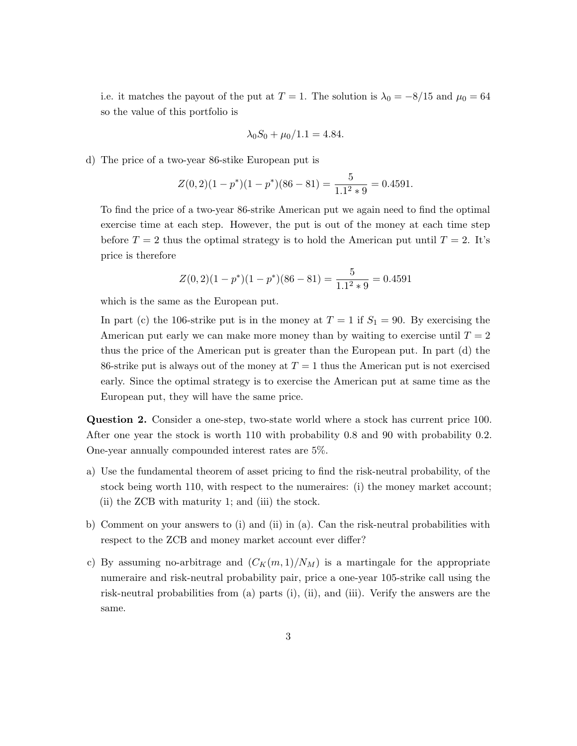i.e. it matches the payout of the put at  $T = 1$ . The solution is  $\lambda_0 = -8/15$  and  $\mu_0 = 64$ so the value of this portfolio is

$$
\lambda_0 S_0 + \mu_0 / 1.1 = 4.84.
$$

d) The price of a two-year 86-stike European put is

$$
Z(0,2)(1-p^*)(1-p^*)(86-81) = \frac{5}{1.1^2 \times 9} = 0.4591.
$$

To find the price of a two-year 86-strike American put we again need to find the optimal exercise time at each step. However, the put is out of the money at each time step before  $T = 2$  thus the optimal strategy is to hold the American put until  $T = 2$ . It's price is therefore

$$
Z(0,2)(1-p^*)(1-p^*)(86-81) = \frac{5}{1.1^2 \times 9} = 0.4591
$$

which is the same as the European put.

In part (c) the 106-strike put is in the money at  $T = 1$  if  $S_1 = 90$ . By exercising the American put early we can make more money than by waiting to exercise until  $T = 2$ thus the price of the American put is greater than the European put. In part (d) the 86-strike put is always out of the money at  $T = 1$  thus the American put is not exercised early. Since the optimal strategy is to exercise the American put at same time as the European put, they will have the same price.

Question 2. Consider a one-step, two-state world where a stock has current price 100. After one year the stock is worth 110 with probability 0.8 and 90 with probability 0.2. One-year annually compounded interest rates are 5%.

- a) Use the fundamental theorem of asset pricing to find the risk-neutral probability, of the stock being worth 110, with respect to the numeraires: (i) the money market account; (ii) the ZCB with maturity 1; and (iii) the stock.
- b) Comment on your answers to (i) and (ii) in (a). Can the risk-neutral probabilities with respect to the ZCB and money market account ever differ?
- c) By assuming no-arbitrage and  $(C_K(m, 1)/N_M)$  is a martingale for the appropriate numeraire and risk-neutral probability pair, price a one-year 105-strike call using the risk-neutral probabilities from (a) parts (i), (ii), and (iii). Verify the answers are the same.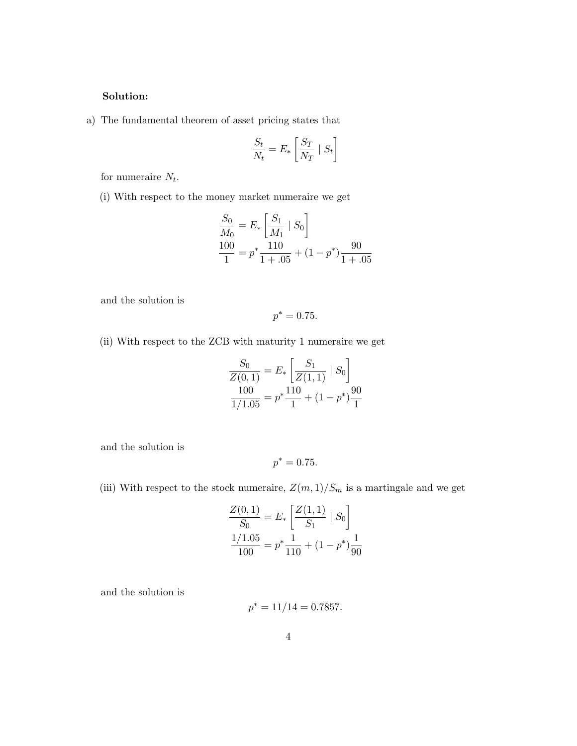## Solution:

a) The fundamental theorem of asset pricing states that

$$
\frac{S_t}{N_t} = E_* \left[ \frac{S_T}{N_T} \mid S_t \right]
$$

for numeraire  $N_t$ .

(i) With respect to the money market numeraire we get

$$
\frac{S_0}{M_0} = E_* \left[ \frac{S_1}{M_1} \mid S_0 \right]
$$
  

$$
\frac{100}{1} = p^* \frac{110}{1 + .05} + (1 - p^*) \frac{90}{1 + .05}
$$

and the solution is

$$
p^* = 0.75.
$$

(ii) With respect to the ZCB with maturity 1 numeraire we get

$$
\frac{S_0}{Z(0,1)} = E_* \left[ \frac{S_1}{Z(1,1)} | S_0 \right]
$$

$$
\frac{100}{1/1.05} = p^* \frac{110}{1} + (1 - p^*) \frac{90}{1}
$$

and the solution is

$$
p^* = 0.75.
$$

(iii) With respect to the stock numeraire,  $Z(m,1)/S_m$  is a martingale and we get

$$
\frac{Z(0,1)}{S_0} = E_* \left[ \frac{Z(1,1)}{S_1} \mid S_0 \right]
$$

$$
\frac{1/1.05}{100} = p^* \frac{1}{110} + (1 - p^*) \frac{1}{90}
$$

and the solution is

$$
p^* = 11/14 = 0.7857.
$$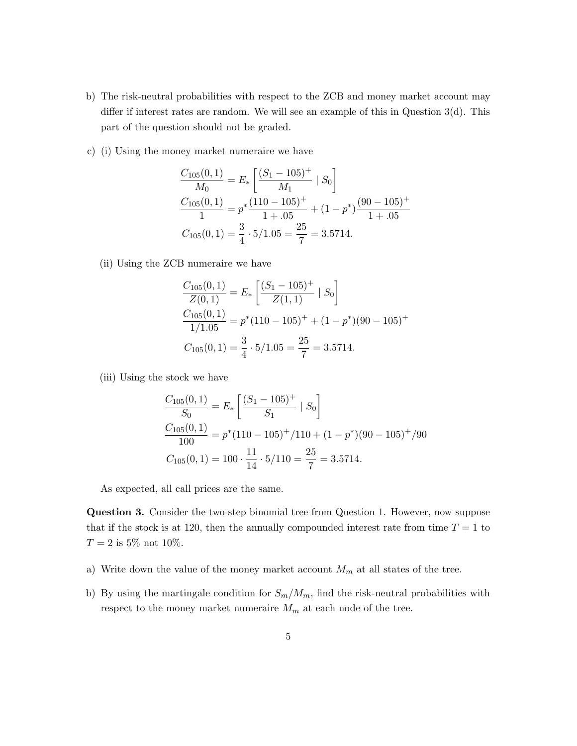- b) The risk-neutral probabilities with respect to the ZCB and money market account may differ if interest rates are random. We will see an example of this in Question 3(d). This part of the question should not be graded.
- c) (i) Using the money market numeraire we have

$$
\frac{C_{105}(0,1)}{M_0} = E_* \left[ \frac{(S_1 - 105)^+}{M_1} \mid S_0 \right]
$$
  

$$
\frac{C_{105}(0,1)}{1} = p^* \frac{(110 - 105)^+}{1 + .05} + (1 - p^*) \frac{(90 - 105)^+}{1 + .05}
$$
  

$$
C_{105}(0,1) = \frac{3}{4} \cdot 5/1.05 = \frac{25}{7} = 3.5714.
$$

(ii) Using the ZCB numeraire we have

$$
\frac{C_{105}(0,1)}{Z(0,1)} = E_* \left[ \frac{(S_1 - 105)^+}{Z(1,1)} | S_0 \right]
$$
  

$$
\frac{C_{105}(0,1)}{1/1.05} = p^*(110 - 105)^+ + (1 - p^*)(90 - 105)^+
$$
  

$$
C_{105}(0,1) = \frac{3}{4} \cdot 5/1.05 = \frac{25}{7} = 3.5714.
$$

(iii) Using the stock we have

$$
\frac{C_{105}(0,1)}{S_0} = E_* \left[ \frac{(S_1 - 105)^+}{S_1} \mid S_0 \right]
$$
  

$$
\frac{C_{105}(0,1)}{100} = p^*(110 - 105)^+ / 110 + (1 - p^*)(90 - 105)^+ / 90
$$
  

$$
C_{105}(0,1) = 100 \cdot \frac{11}{14} \cdot 5 / 110 = \frac{25}{7} = 3.5714.
$$

As expected, all call prices are the same.

Question 3. Consider the two-step binomial tree from Question 1. However, now suppose that if the stock is at 120, then the annually compounded interest rate from time  $T = 1$  to  $T = 2$  is 5% not 10%.

- a) Write down the value of the money market account  $M_m$  at all states of the tree.
- b) By using the martingale condition for  $S_m/M_m$ , find the risk-neutral probabilities with respect to the money market numeraire  $M_m$  at each node of the tree.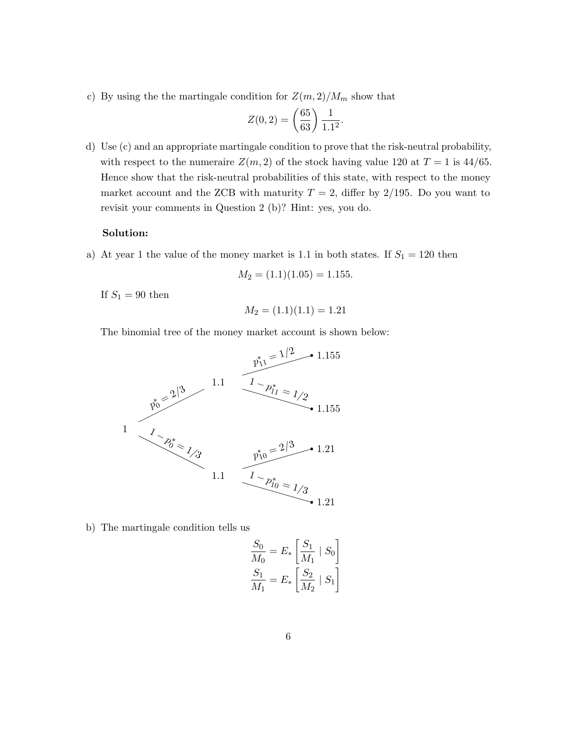c) By using the the martingale condition for  $Z(m, 2)/M_m$  show that

$$
Z(0,2) = \left(\frac{65}{63}\right) \frac{1}{1.1^2}.
$$

d) Use (c) and an appropriate martingale condition to prove that the risk-neutral probability, with respect to the numeraire  $Z(m, 2)$  of the stock having value 120 at  $T = 1$  is 44/65. Hence show that the risk-neutral probabilities of this state, with respect to the money market account and the ZCB with maturity  $T = 2$ , differ by 2/195. Do you want to revisit your comments in Question 2 (b)? Hint: yes, you do.

## Solution:

a) At year 1 the value of the money market is 1.1 in both states. If  $S_1 = 120$  then

$$
M_2 = (1.1)(1.05) = 1.155
$$

If  $S_1 = 90$  then

$$
M_2 = (1.1)(1.1) = 1.21
$$

The binomial tree of the money market account is shown below:



b) The martingale condition tells us

$$
\frac{S_0}{M_0} = E_* \left[ \frac{S_1}{M_1} \mid S_0 \right]
$$

$$
\frac{S_1}{M_1} = E_* \left[ \frac{S_2}{M_2} \mid S_1 \right]
$$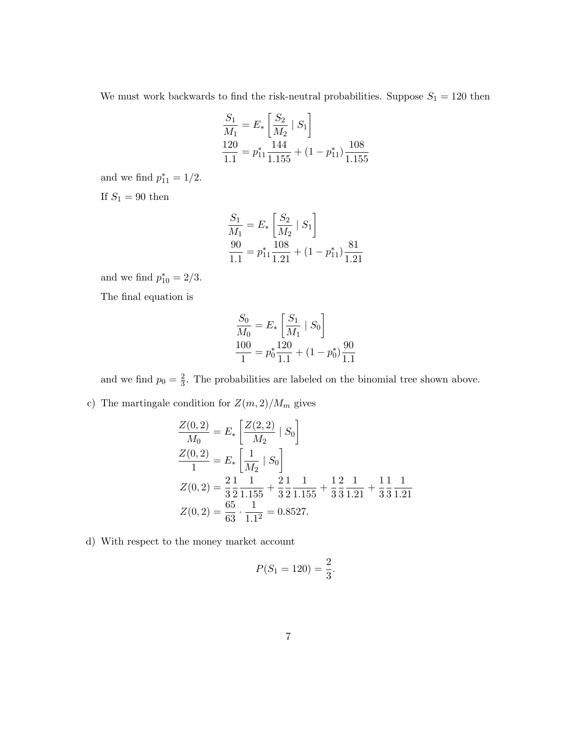We must work backwards to find the risk-neutral probabilities. Suppose  $S_1 = 120$  then

$$
\frac{S_1}{M_1} = E_* \left[ \frac{S_2}{M_2} \mid S_1 \right]
$$
  

$$
\frac{120}{1.1} = p_{11}^* \frac{144}{1.155} + (1 - p_{11}^*) \frac{108}{1.155}
$$

and we find  $p_{11}^* = 1/2$ . If  $\mathcal{S}_1=90$  then

$$
\frac{S_1}{M_1} = E_* \left[ \frac{S_2}{M_2} \mid S_1 \right]
$$
  

$$
\frac{90}{1.1} = p_{11}^* \frac{108}{1.21} + (1 - p_{11}^*) \frac{81}{1.21}
$$

and we find  $p_{10}^* = 2/3$ .

The final equation is

$$
\frac{S_0}{M_0} = E_* \left[ \frac{S_1}{M_1} \mid S_0 \right]
$$

$$
\frac{100}{1} = p_0^* \frac{120}{1.1} + (1 - p_0^*) \frac{90}{1.1}
$$

and we find  $p_0 = \frac{2}{3}$  $\frac{2}{3}$ . The probabilities are labeled on the binomial tree shown above.

c) The martingale condition for  $Z(m, 2)/M_m$  gives

$$
\frac{Z(0,2)}{M_0} = E_* \left[ \frac{Z(2,2)}{M_2} | S_0 \right]
$$
  
\n
$$
\frac{Z(0,2)}{1} = E_* \left[ \frac{1}{M_2} | S_0 \right]
$$
  
\n
$$
Z(0,2) = \frac{2}{3} \frac{1}{2} \frac{1}{1.155} + \frac{2}{3} \frac{1}{2} \frac{1}{1.155} + \frac{1}{3} \frac{2}{3} \frac{1}{1.21} + \frac{1}{3} \frac{1}{3} \frac{1}{1.21}
$$
  
\n
$$
Z(0,2) = \frac{65}{63} \cdot \frac{1}{1.1^2} = 0.8527.
$$

d) With respect to the money market account

$$
P(S_1 = 120) = \frac{2}{3}.
$$